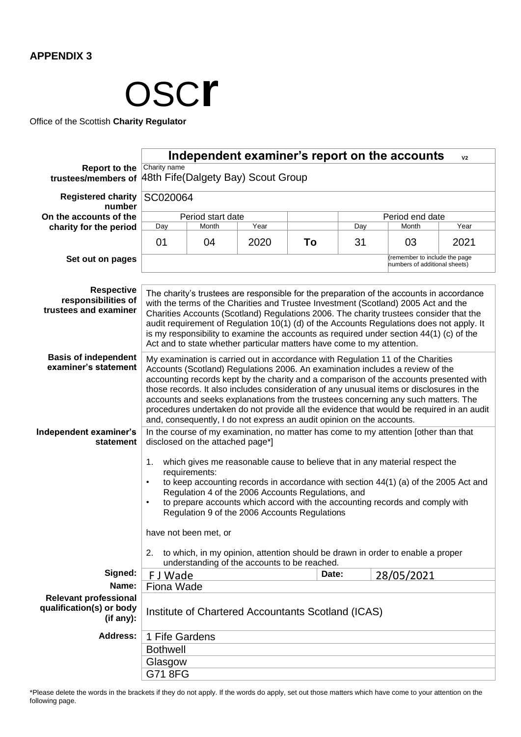

Office of the Scottish **Charity Regulator**

|                                                                       | Independent examiner's report on the accounts<br>V <sub>2</sub>                                                                                                                                                                                                                                                                                                                                                                                                                                                                                                                                                   |                 |      |       |     |            |      |  |  |  |  |
|-----------------------------------------------------------------------|-------------------------------------------------------------------------------------------------------------------------------------------------------------------------------------------------------------------------------------------------------------------------------------------------------------------------------------------------------------------------------------------------------------------------------------------------------------------------------------------------------------------------------------------------------------------------------------------------------------------|-----------------|------|-------|-----|------------|------|--|--|--|--|
| <b>Report to the</b>                                                  | Charity name                                                                                                                                                                                                                                                                                                                                                                                                                                                                                                                                                                                                      |                 |      |       |     |            |      |  |  |  |  |
| trustees/members of                                                   | 48th Fife(Dalgety Bay) Scout Group                                                                                                                                                                                                                                                                                                                                                                                                                                                                                                                                                                                |                 |      |       |     |            |      |  |  |  |  |
| <b>Registered charity</b><br>number                                   | SC020064                                                                                                                                                                                                                                                                                                                                                                                                                                                                                                                                                                                                          |                 |      |       |     |            |      |  |  |  |  |
| On the accounts of the                                                | Period start date                                                                                                                                                                                                                                                                                                                                                                                                                                                                                                                                                                                                 | Period end date |      |       |     |            |      |  |  |  |  |
| charity for the period                                                | Day                                                                                                                                                                                                                                                                                                                                                                                                                                                                                                                                                                                                               | Month           | Year |       | Day | Month      | Year |  |  |  |  |
|                                                                       | 01                                                                                                                                                                                                                                                                                                                                                                                                                                                                                                                                                                                                                | 04              | 2020 | To    | 31  | 03         | 2021 |  |  |  |  |
| Set out on pages                                                      | (remember to include the page<br>numbers of additional sheets)                                                                                                                                                                                                                                                                                                                                                                                                                                                                                                                                                    |                 |      |       |     |            |      |  |  |  |  |
| <b>Respective</b><br>responsibilities of<br>trustees and examiner     | The charity's trustees are responsible for the preparation of the accounts in accordance<br>with the terms of the Charities and Trustee Investment (Scotland) 2005 Act and the<br>Charities Accounts (Scotland) Regulations 2006. The charity trustees consider that the<br>audit requirement of Regulation 10(1) (d) of the Accounts Regulations does not apply. It<br>is my responsibility to examine the accounts as required under section $44(1)$ (c) of the<br>Act and to state whether particular matters have come to my attention.                                                                       |                 |      |       |     |            |      |  |  |  |  |
| <b>Basis of independent</b><br>examiner's statement                   | My examination is carried out in accordance with Regulation 11 of the Charities<br>Accounts (Scotland) Regulations 2006. An examination includes a review of the<br>accounting records kept by the charity and a comparison of the accounts presented with<br>those records. It also includes consideration of any unusual items or disclosures in the<br>accounts and seeks explanations from the trustees concerning any such matters. The<br>procedures undertaken do not provide all the evidence that would be required in an audit<br>and, consequently, I do not express an audit opinion on the accounts. |                 |      |       |     |            |      |  |  |  |  |
| Independent examiner's<br>statement                                   | In the course of my examination, no matter has come to my attention [other than that<br>disclosed on the attached page*]<br>1.<br>which gives me reasonable cause to believe that in any material respect the                                                                                                                                                                                                                                                                                                                                                                                                     |                 |      |       |     |            |      |  |  |  |  |
|                                                                       | requirements:<br>to keep accounting records in accordance with section $44(1)$ (a) of the 2005 Act and<br>$\bullet$<br>Regulation 4 of the 2006 Accounts Regulations, and<br>to prepare accounts which accord with the accounting records and comply with<br>$\bullet$<br>Regulation 9 of the 2006 Accounts Regulations                                                                                                                                                                                                                                                                                           |                 |      |       |     |            |      |  |  |  |  |
|                                                                       | have not been met, or<br>2.<br>to which, in my opinion, attention should be drawn in order to enable a proper<br>understanding of the accounts to be reached.                                                                                                                                                                                                                                                                                                                                                                                                                                                     |                 |      |       |     |            |      |  |  |  |  |
|                                                                       |                                                                                                                                                                                                                                                                                                                                                                                                                                                                                                                                                                                                                   |                 |      |       |     |            |      |  |  |  |  |
| Signed:                                                               | F J Wade                                                                                                                                                                                                                                                                                                                                                                                                                                                                                                                                                                                                          |                 |      | Date: |     | 28/05/2021 |      |  |  |  |  |
| Name:                                                                 | Fiona Wade                                                                                                                                                                                                                                                                                                                                                                                                                                                                                                                                                                                                        |                 |      |       |     |            |      |  |  |  |  |
| <b>Relevant professional</b><br>qualification(s) or body<br>(if any): | Institute of Chartered Accountants Scotland (ICAS)                                                                                                                                                                                                                                                                                                                                                                                                                                                                                                                                                                |                 |      |       |     |            |      |  |  |  |  |
| <b>Address:</b>                                                       |                                                                                                                                                                                                                                                                                                                                                                                                                                                                                                                                                                                                                   | 1 Fife Gardens  |      |       |     |            |      |  |  |  |  |
|                                                                       | <b>Bothwell</b>                                                                                                                                                                                                                                                                                                                                                                                                                                                                                                                                                                                                   |                 |      |       |     |            |      |  |  |  |  |
|                                                                       | Glasgow                                                                                                                                                                                                                                                                                                                                                                                                                                                                                                                                                                                                           |                 |      |       |     |            |      |  |  |  |  |
|                                                                       |                                                                                                                                                                                                                                                                                                                                                                                                                                                                                                                                                                                                                   |                 |      |       |     |            |      |  |  |  |  |
|                                                                       | G718FG                                                                                                                                                                                                                                                                                                                                                                                                                                                                                                                                                                                                            |                 |      |       |     |            |      |  |  |  |  |

\*Please delete the words in the brackets if they do not apply. If the words do apply, set out those matters which have come to your attention on the following page.